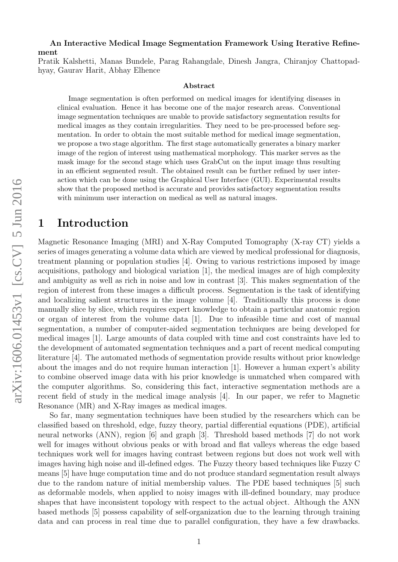#### An Interactive Medical Image Segmentation Framework Using Iterative Refinement

Pratik Kalshetti, Manas Bundele, Parag Rahangdale, Dinesh Jangra, Chiranjoy Chattopadhyay, Gaurav Harit, Abhay Elhence

#### Abstract

Image segmentation is often performed on medical images for identifying diseases in clinical evaluation. Hence it has become one of the major research areas. Conventional image segmentation techniques are unable to provide satisfactory segmentation results for medical images as they contain irregularities. They need to be pre-processed before segmentation. In order to obtain the most suitable method for medical image segmentation, we propose a two stage algorithm. The first stage automatically generates a binary marker image of the region of interest using mathematical morphology. This marker serves as the mask image for the second stage which uses GrabCut on the input image thus resulting in an efficient segmented result. The obtained result can be further refined by user interaction which can be done using the Graphical User Interface (GUI). Experimental results show that the proposed method is accurate and provides satisfactory segmentation results with minimum user interaction on medical as well as natural images.

## 1 Introduction

Magnetic Resonance Imaging (MRI) and X-Ray Computed Tomography (X-ray CT) yields a series of images generating a volume data which are viewed by medical professional for diagnosis, treatment planning or population studies [4]. Owing to various restrictions imposed by image acquisitions, pathology and biological variation [1], the medical images are of high complexity and ambiguity as well as rich in noise and low in contrast [3]. This makes segmentation of the region of interest from these images a difficult process. Segmentation is the task of identifying and localizing salient structures in the image volume [4]. Traditionally this process is done manually slice by slice, which requires expert knowledge to obtain a particular anatomic region or organ of interest from the volume data [1]. Due to infeasible time and cost of manual segmentation, a number of computer-aided segmentation techniques are being developed for medical images [1]. Large amounts of data coupled with time and cost constraints have led to the development of automated segmentation techniques and a part of recent medical computing literature [4]. The automated methods of segmentation provide results without prior knowledge about the images and do not require human interaction [1]. However a human expert's ability to combine observed image data with his prior knowledge is unmatched when compared with the computer algorithms. So, considering this fact, interactive segmentation methods are a recent field of study in the medical image analysis [4]. In our paper, we refer to Magnetic Resonance (MR) and X-Ray images as medical images.

So far, many segmentation techniques have been studied by the researchers which can be classified based on threshold, edge, fuzzy theory, partial differential equations (PDE), artificial neural networks (ANN), region [6] and graph [3]. Threshold based methods [7] do not work well for images without obvious peaks or with broad and flat valleys whereas the edge based techniques work well for images having contrast between regions but does not work well with images having high noise and ill-defined edges. The Fuzzy theory based techniques like Fuzzy C means [5] have huge computation time and do not produce standard segmentation result always due to the random nature of initial membership values. The PDE based techniques [5] such as deformable models, when applied to noisy images with ill-defined boundary, may produce shapes that have inconsistent topology with respect to the actual object. Although the ANN based methods [5] possess capability of self-organization due to the learning through training data and can process in real time due to parallel configuration, they have a few drawbacks.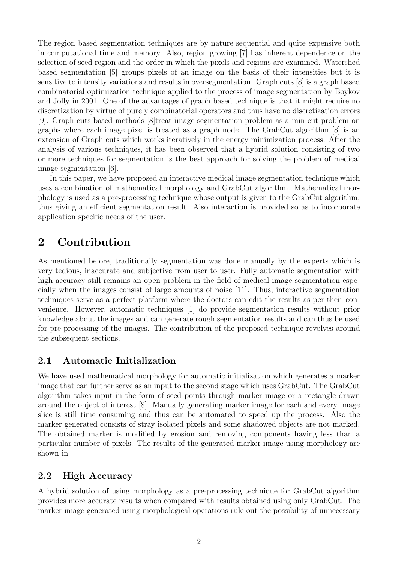The region based segmentation techniques are by nature sequential and quite expensive both in computational time and memory. Also, region growing [7] has inherent dependence on the selection of seed region and the order in which the pixels and regions are examined. Watershed based segmentation [5] groups pixels of an image on the basis of their intensities but it is sensitive to intensity variations and results in oversegmentation. Graph cuts [8] is a graph based combinatorial optimization technique applied to the process of image segmentation by Boykov and Jolly in 2001. One of the advantages of graph based technique is that it might require no discretization by virtue of purely combinatorial operators and thus have no discretization errors [9]. Graph cuts based methods [8]treat image segmentation problem as a min-cut problem on graphs where each image pixel is treated as a graph node. The GrabCut algorithm [8] is an extension of Graph cuts which works iteratively in the energy minimization process. After the analysis of various techniques, it has been observed that a hybrid solution consisting of two or more techniques for segmentation is the best approach for solving the problem of medical image segmentation [6].

In this paper, we have proposed an interactive medical image segmentation technique which uses a combination of mathematical morphology and GrabCut algorithm. Mathematical morphology is used as a pre-processing technique whose output is given to the GrabCut algorithm, thus giving an efficient segmentation result. Also interaction is provided so as to incorporate application specific needs of the user.

## 2 Contribution

As mentioned before, traditionally segmentation was done manually by the experts which is very tedious, inaccurate and subjective from user to user. Fully automatic segmentation with high accuracy still remains an open problem in the field of medical image segmentation especially when the images consist of large amounts of noise [11]. Thus, interactive segmentation techniques serve as a perfect platform where the doctors can edit the results as per their convenience. However, automatic techniques [1] do provide segmentation results without prior knowledge about the images and can generate rough segmentation results and can thus be used for pre-processing of the images. The contribution of the proposed technique revolves around the subsequent sections.

## 2.1 Automatic Initialization

We have used mathematical morphology for automatic initialization which generates a marker image that can further serve as an input to the second stage which uses GrabCut. The GrabCut algorithm takes input in the form of seed points through marker image or a rectangle drawn around the object of interest [8]. Manually generating marker image for each and every image slice is still time consuming and thus can be automated to speed up the process. Also the marker generated consists of stray isolated pixels and some shadowed objects are not marked. The obtained marker is modified by erosion and removing components having less than a particular number of pixels. The results of the generated marker image using morphology are shown in

### 2.2 High Accuracy

A hybrid solution of using morphology as a pre-processing technique for GrabCut algorithm provides more accurate results when compared with results obtained using only GrabCut. The marker image generated using morphological operations rule out the possibility of unnecessary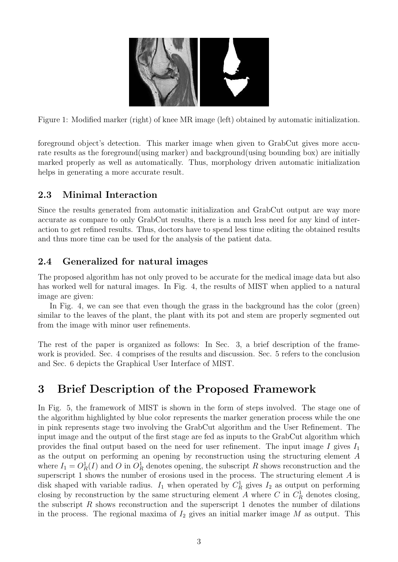

Figure 1: Modified marker (right) of knee MR image (left) obtained by automatic initialization.

foreground object's detection. This marker image when given to GrabCut gives more accurate results as the foreground(using marker) and background(using bounding box) are initially marked properly as well as automatically. Thus, morphology driven automatic initialization helps in generating a more accurate result.

## 2.3 Minimal Interaction

Since the results generated from automatic initialization and GrabCut output are way more accurate as compare to only GrabCut results, there is a much less need for any kind of interaction to get refined results. Thus, doctors have to spend less time editing the obtained results and thus more time can be used for the analysis of the patient data.

## 2.4 Generalized for natural images

The proposed algorithm has not only proved to be accurate for the medical image data but also has worked well for natural images. In Fig. 4, the results of MIST when applied to a natural image are given:

In Fig. 4, we can see that even though the grass in the background has the color (green) similar to the leaves of the plant, the plant with its pot and stem are properly segmented out from the image with minor user refinements.

The rest of the paper is organized as follows: In Sec. 3, a brief description of the framework is provided. Sec. 4 comprises of the results and discussion. Sec. 5 refers to the conclusion and Sec. 6 depicts the Graphical User Interface of MIST.

# 3 Brief Description of the Proposed Framework

In Fig. 5, the framework of MIST is shown in the form of steps involved. The stage one of the algorithm highlighted by blue color represents the marker generation process while the one in pink represents stage two involving the GrabCut algorithm and the User Refinement. The input image and the output of the first stage are fed as inputs to the GrabCut algorithm which provides the final output based on the need for user refinement. The input image I gives  $I_1$ as the output on performing an opening by reconstruction using the structuring element A where  $I_1 = O_R^1(I)$  and O in  $O_R^1$  denotes opening, the subscript R shows reconstruction and the superscript 1 shows the number of erosions used in the process. The structuring element  $A$  is disk shaped with variable radius.  $I_1$  when operated by  $C_R^1$  gives  $I_2$  as output on performing closing by reconstruction by the same structuring element A where C in  $C_R^1$  denotes closing, the subscript  $R$  shows reconstruction and the superscript 1 denotes the number of dilations in the process. The regional maxima of  $I_2$  gives an initial marker image M as output. This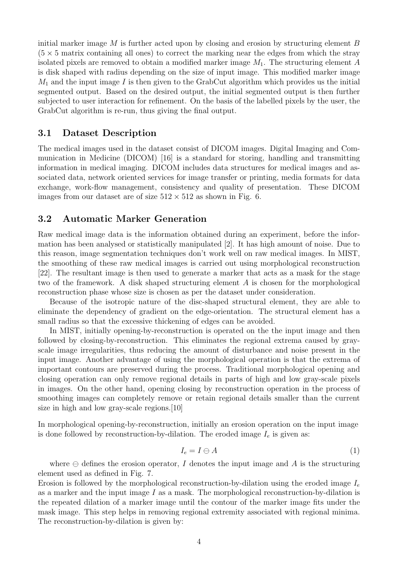initial marker image  $M$  is further acted upon by closing and erosion by structuring element  $B$  $(5 \times 5$  matrix containing all ones) to correct the marking near the edges from which the stray isolated pixels are removed to obtain a modified marker image  $M_1$ . The structuring element A is disk shaped with radius depending on the size of input image. This modified marker image  $M_1$  and the input image I is then given to the GrabCut algorithm which provides us the initial segmented output. Based on the desired output, the initial segmented output is then further subjected to user interaction for refinement. On the basis of the labelled pixels by the user, the GrabCut algorithm is re-run, thus giving the final output.

### 3.1 Dataset Description

The medical images used in the dataset consist of DICOM images. Digital Imaging and Communication in Medicine (DICOM) [16] is a standard for storing, handling and transmitting information in medical imaging. DICOM includes data structures for medical images and associated data, network oriented services for image transfer or printing, media formats for data exchange, work-flow management, consistency and quality of presentation. These DICOM images from our dataset are of size  $512 \times 512$  as shown in Fig. 6.

### 3.2 Automatic Marker Generation

Raw medical image data is the information obtained during an experiment, before the information has been analysed or statistically manipulated [2]. It has high amount of noise. Due to this reason, image segmentation techniques don't work well on raw medical images. In MIST, the smoothing of these raw medical images is carried out using morphological reconstruction [22]. The resultant image is then used to generate a marker that acts as a mask for the stage two of the framework. A disk shaped structuring element A is chosen for the morphological reconstruction phase whose size is chosen as per the dataset under consideration.

Because of the isotropic nature of the disc-shaped structural element, they are able to eliminate the dependency of gradient on the edge-orientation. The structural element has a small radius so that the excessive thickening of edges can be avoided.

In MIST, initially opening-by-reconstruction is operated on the the input image and then followed by closing-by-reconstruction. This eliminates the regional extrema caused by grayscale image irregularities, thus reducing the amount of disturbance and noise present in the input image. Another advantage of using the morphological operation is that the extrema of important contours are preserved during the process. Traditional morphological opening and closing operation can only remove regional details in parts of high and low gray-scale pixels in images. On the other hand, opening closing by reconstruction operation in the process of smoothing images can completely remove or retain regional details smaller than the current size in high and low gray-scale regions.[10]

In morphological opening-by-reconstruction, initially an erosion operation on the input image is done followed by reconstruction-by-dilation. The eroded image  $I_e$  is given as:

$$
I_e = I \ominus A \tag{1}
$$

where  $\ominus$  defines the erosion operator, I denotes the input image and A is the structuring element used as defined in Fig. 7.

Erosion is followed by the morphological reconstruction-by-dilation using the eroded image  $I_e$ as a marker and the input image  $I$  as a mask. The morphological reconstruction-by-dilation is the repeated dilation of a marker image until the contour of the marker image fits under the mask image. This step helps in removing regional extremity associated with regional minima. The reconstruction-by-dilation is given by: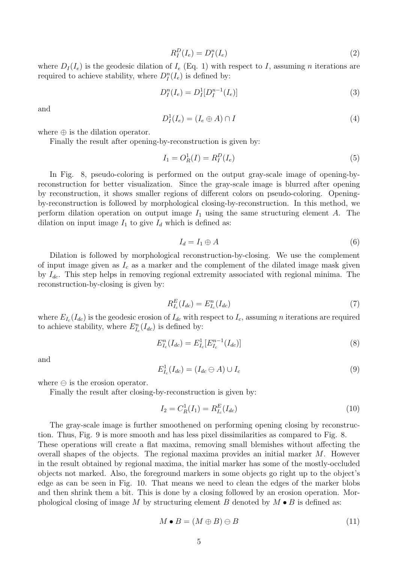$$
R_I^D(I_e) = D_I^n(I_e) \tag{2}
$$

where  $D_I(I_e)$  is the geodesic dilation of  $I_e$  (Eq. 1) with respect to I, assuming n iterations are required to achieve stability, where  $D_I^n(I_e)$  is defined by:

$$
D_I^n(I_e) = D_I^1[D_I^{n-1}(I_e)]
$$
\n(3)

and

$$
D_I^1(I_e) = (I_e \oplus A) \cap I \tag{4}
$$

where  $\oplus$  is the dilation operator.

Finally the result after opening-by-reconstruction is given by:

$$
I_1 = O_R^1(I) = R_I^D(I_e)
$$
\n(5)

In Fig. 8, pseudo-coloring is performed on the output gray-scale image of opening-byreconstruction for better visualization. Since the gray-scale image is blurred after opening by reconstruction, it shows smaller regions of different colors on pseudo-coloring. Openingby-reconstruction is followed by morphological closing-by-reconstruction. In this method, we perform dilation operation on output image  $I_1$  using the same structuring element A. The dilation on input image  $I_1$  to give  $I_d$  which is defined as:

$$
I_d = I_1 \oplus A \tag{6}
$$

Dilation is followed by morphological reconstruction-by-closing. We use the complement of input image given as  $I_c$  as a marker and the complement of the dilated image mask given by  $I_{dc}$ . This step helps in removing regional extremity associated with regional minima. The reconstruction-by-closing is given by:

$$
R_{I_c}^E(I_{dc}) = E_{I_c}^n(I_{dc})
$$
\n(7)

where  $E_{I_c}(I_{dc})$  is the geodesic erosion of  $I_{dc}$  with respect to  $I_c$ , assuming n iterations are required to achieve stability, where  $E_{I_c}^n(I_{dc})$  is defined by:

$$
E_{I_c}^n(I_{dc}) = E_{I_c}^1[E_{I_c}^{n-1}(I_{dc})]
$$
\n(8)

and

$$
E_{I_c}^1(I_{dc}) = (I_{dc} \ominus A) \cup I_c \tag{9}
$$

where  $\ominus$  is the erosion operator.

Finally the result after closing-by-reconstruction is given by:

$$
I_2 = C_R^1(I_1) = R_{I_c}^E(I_{dc})
$$
\n(10)

The gray-scale image is further smoothened on performing opening closing by reconstruction. Thus, Fig. 9 is more smooth and has less pixel dissimilarities as compared to Fig. 8. These operations will create a flat maxima, removing small blemishes without affecting the overall shapes of the objects. The regional maxima provides an initial marker  $M$ . However in the result obtained by regional maxima, the initial marker has some of the mostly-occluded objects not marked. Also, the foreground markers in some objects go right up to the object's

edge as can be seen in Fig. 10. That means we need to clean the edges of the marker blobs and then shrink them a bit. This is done by a closing followed by an erosion operation. Morphological closing of image M by structuring element B denoted by  $M \bullet B$  is defined as:

$$
M \bullet B = (M \oplus B) \ominus B \tag{11}
$$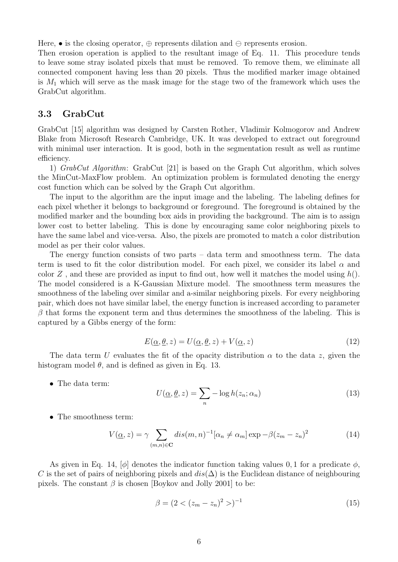Here,  $\bullet$  is the closing operator,  $\oplus$  represents dilation and  $\ominus$  represents erosion.

Then erosion operation is applied to the resultant image of Eq. 11. This procedure tends to leave some stray isolated pixels that must be removed. To remove them, we eliminate all connected component having less than 20 pixels. Thus the modified marker image obtained is  $M_1$  which will serve as the mask image for the stage two of the framework which uses the GrabCut algorithm.

### 3.3 GrabCut

GrabCut [15] algorithm was designed by Carsten Rother, Vladimir Kolmogorov and Andrew Blake from Microsoft Research Cambridge, UK. It was developed to extract out foreground with minimal user interaction. It is good, both in the segmentation result as well as runtime efficiency.

1) GrabCut Algorithm: GrabCut [21] is based on the Graph Cut algorithm, which solves the MinCut-MaxFlow problem. An optimization problem is formulated denoting the energy cost function which can be solved by the Graph Cut algorithm.

The input to the algorithm are the input image and the labeling. The labeling defines for each pixel whether it belongs to background or foreground. The foreground is obtained by the modified marker and the bounding box aids in providing the background. The aim is to assign lower cost to better labeling. This is done by encouraging same color neighboring pixels to have the same label and vice-versa. Also, the pixels are promoted to match a color distribution model as per their color values.

The energy function consists of two parts – data term and smoothness term. The data term is used to fit the color distribution model. For each pixel, we consider its label  $\alpha$  and color Z, and these are provided as input to find out, how well it matches the model using  $h(.)$ . The model considered is a K-Gaussian Mixture model. The smoothness term measures the smoothness of the labeling over similar and a-similar neighboring pixels. For every neighboring pair, which does not have similar label, the energy function is increased according to parameter  $\beta$  that forms the exponent term and thus determines the smoothness of the labeling. This is captured by a Gibbs energy of the form:

$$
E(\underline{\alpha}, \underline{\theta}, z) = U(\underline{\alpha}, \underline{\theta}, z) + V(\underline{\alpha}, z)
$$
\n(12)

The data term U evaluates the fit of the opacity distribution  $\alpha$  to the data z, given the histogram model  $\theta$ , and is defined as given in Eq. 13.

• The data term:

$$
U(\underline{\alpha}, \underline{\theta}, z) = \sum_{n} -\log h(z_n; \alpha_n)
$$
\n(13)

• The smoothness term:

$$
V(\underline{\alpha}, z) = \gamma \sum_{(m,n) \in \mathbf{C}} dis(m,n)^{-1}[\alpha_n \neq \alpha_m] \exp{-\beta(z_m - z_n)^2}
$$
(14)

As given in Eq. 14,  $[\phi]$  denotes the indicator function taking values 0, 1 for a predicate  $\phi$ , C is the set of pairs of neighboring pixels and  $dis(\Delta)$  is the Euclidean distance of neighbouring pixels. The constant  $\beta$  is chosen [Boykov and Jolly 2001] to be:

$$
\beta = (2 < (z_m - z_n)^2 > )^{-1} \tag{15}
$$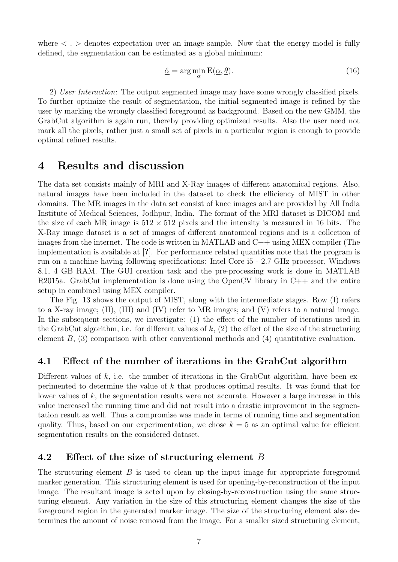where  $\langle \cdot \rangle$  denotes expectation over an image sample. Now that the energy model is fully defined, the segmentation can be estimated as a global minimum:

$$
\hat{\underline{\alpha}} = \arg\min_{\underline{\alpha}} \mathbf{E}(\underline{\alpha}, \underline{\theta}). \tag{16}
$$

2) User Interaction: The output segmented image may have some wrongly classified pixels. To further optimize the result of segmentation, the initial segmented image is refined by the user by marking the wrongly classified foreground as background. Based on the new GMM, the GrabCut algorithm is again run, thereby providing optimized results. Also the user need not mark all the pixels, rather just a small set of pixels in a particular region is enough to provide optimal refined results.

## 4 Results and discussion

The data set consists mainly of MRI and X-Ray images of different anatomical regions. Also, natural images have been included in the dataset to check the efficiency of MIST in other domains. The MR images in the data set consist of knee images and are provided by All India Institute of Medical Sciences, Jodhpur, India. The format of the MRI dataset is DICOM and the size of each MR image is  $512 \times 512$  pixels and the intensity is measured in 16 bits. The X-Ray image dataset is a set of images of different anatomical regions and is a collection of images from the internet. The code is written in MATLAB and  $C++$  using MEX compiler (The implementation is available at [?]. For performance related quantities note that the program is run on a machine having following specifications: Intel Core i5 - 2.7 GHz processor, Windows 8.1, 4 GB RAM. The GUI creation task and the pre-processing work is done in MATLAB R2015a. GrabCut implementation is done using the OpenCV library in C++ and the entire setup in combined using MEX compiler.

The Fig. 13 shows the output of MIST, along with the intermediate stages. Row (I) refers to a X-ray image; (II), (III) and (IV) refer to MR images; and (V) refers to a natural image. In the subsequent sections, we investigate: (1) the effect of the number of iterations used in the GrabCut algorithm, i.e. for different values of  $k$ ,  $(2)$  the effect of the size of the structuring element B, (3) comparison with other conventional methods and (4) quantitative evaluation.

### 4.1 Effect of the number of iterations in the GrabCut algorithm

Different values of  $k$ , i.e. the number of iterations in the GrabCut algorithm, have been experimented to determine the value of k that produces optimal results. It was found that for lower values of  $k$ , the segmentation results were not accurate. However a large increase in this value increased the running time and did not result into a drastic improvement in the segmentation result as well. Thus a compromise was made in terms of running time and segmentation quality. Thus, based on our experimentation, we chose  $k = 5$  as an optimal value for efficient segmentation results on the considered dataset.

## 4.2 Effect of the size of structuring element B

The structuring element  $B$  is used to clean up the input image for appropriate foreground marker generation. This structuring element is used for opening-by-reconstruction of the input image. The resultant image is acted upon by closing-by-reconstruction using the same structuring element. Any variation in the size of this structuring element changes the size of the foreground region in the generated marker image. The size of the structuring element also determines the amount of noise removal from the image. For a smaller sized structuring element,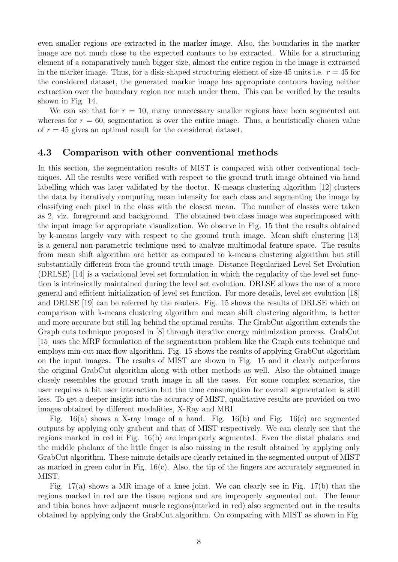even smaller regions are extracted in the marker image. Also, the boundaries in the marker image are not much close to the expected contours to be extracted. While for a structuring element of a comparatively much bigger size, almost the entire region in the image is extracted in the marker image. Thus, for a disk-shaped structuring element of size 45 units i.e.  $r = 45$  for the considered dataset, the generated marker image has appropriate contours having neither extraction over the boundary region nor much under them. This can be verified by the results shown in Fig. 14.

We can see that for  $r = 10$ , many unnecessary smaller regions have been segmented out whereas for  $r = 60$ , segmentation is over the entire image. Thus, a heuristically chosen value of  $r = 45$  gives an optimal result for the considered dataset.

### 4.3 Comparison with other conventional methods

In this section, the segmentation results of MIST is compared with other conventional techniques. All the results were verified with respect to the ground truth image obtained via hand labelling which was later validated by the doctor. K-means clustering algorithm [12] clusters the data by iteratively computing mean intensity for each class and segmenting the image by classifying each pixel in the class with the closest mean. The number of classes were taken as 2, viz. foreground and background. The obtained two class image was superimposed with the input image for appropriate visualization. We observe in Fig. 15 that the results obtained by k-means largely vary with respect to the ground truth image. Mean shift clustering [13] is a general non-parametric technique used to analyze multimodal feature space. The results from mean shift algorithm are better as compared to k-means clustering algorithm but still substantially different from the ground truth image. Distance Regularized Level Set Evolution (DRLSE) [14] is a variational level set formulation in which the regularity of the level set function is intrinsically maintained during the level set evolution. DRLSE allows the use of a more general and efficient initialization of level set function. For more details, level set evolution [18] and DRLSE [19] can be referred by the readers. Fig. 15 shows the results of DRLSE which on comparison with k-means clustering algorithm and mean shift clustering algorithm, is better and more accurate but still lag behind the optimal results. The GrabCut algorithm extends the Graph cuts technique proposed in [8] through iterative energy minimization process. GrabCut [15] uses the MRF formulation of the segmentation problem like the Graph cuts technique and employs min-cut max-flow algorithm. Fig. 15 shows the results of applying GrabCut algorithm on the input images. The results of MIST are shown in Fig. 15 and it clearly outperforms the original GrabCut algorithm along with other methods as well. Also the obtained image closely resembles the ground truth image in all the cases. For some complex scenarios, the user requires a bit user interaction but the time consumption for overall segmentation is still less. To get a deeper insight into the accuracy of MIST, qualitative results are provided on two images obtained by different modalities, X-Ray and MRI.

Fig.  $16(a)$  shows a X-ray image of a hand. Fig.  $16(b)$  and Fig.  $16(c)$  are segmented outputs by applying only grabcut and that of MIST respectively. We can clearly see that the regions marked in red in Fig. 16(b) are improperly segmented. Even the distal phalanx and the middle phalanx of the little finger is also missing in the result obtained by applying only GrabCut algorithm. These minute details are clearly retained in the segmented output of MIST as marked in green color in Fig. 16(c). Also, the tip of the fingers are accurately segmented in MIST.

Fig. 17(a) shows a MR image of a knee joint. We can clearly see in Fig. 17(b) that the regions marked in red are the tissue regions and are improperly segmented out. The femur and tibia bones have adjacent muscle regions(marked in red) also segmented out in the results obtained by applying only the GrabCut algorithm. On comparing with MIST as shown in Fig.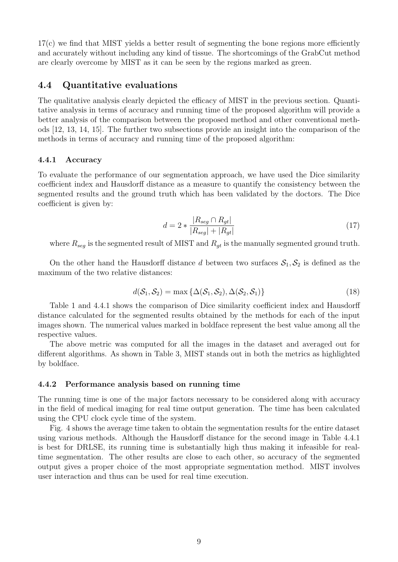17(c) we find that MIST yields a better result of segmenting the bone regions more efficiently and accurately without including any kind of tissue. The shortcomings of the GrabCut method are clearly overcome by MIST as it can be seen by the regions marked as green.

### 4.4 Quantitative evaluations

The qualitative analysis clearly depicted the efficacy of MIST in the previous section. Quantitative analysis in terms of accuracy and running time of the proposed algorithm will provide a better analysis of the comparison between the proposed method and other conventional methods [12, 13, 14, 15]. The further two subsections provide an insight into the comparison of the methods in terms of accuracy and running time of the proposed algorithm:

#### 4.4.1 Accuracy

To evaluate the performance of our segmentation approach, we have used the Dice similarity coefficient index and Hausdorff distance as a measure to quantify the consistency between the segmented results and the ground truth which has been validated by the doctors. The Dice coefficient is given by:

$$
d = 2 * \frac{|R_{seg} \cap R_{gt}|}{|R_{seg}| + |R_{gt}|}
$$
\n
$$
(17)
$$

where  $R_{seg}$  is the segmented result of MIST and  $R_{gt}$  is the manually segmented ground truth.

On the other hand the Hausdorff distance d between two surfaces  $S_1, S_2$  is defined as the maximum of the two relative distances:

$$
d(\mathcal{S}_1, \mathcal{S}_2) = \max \{ \Delta(\mathcal{S}_1, \mathcal{S}_2), \Delta(\mathcal{S}_2, \mathcal{S}_1) \}
$$
(18)

Table 1 and 4.4.1 shows the comparison of Dice similarity coefficient index and Hausdorff distance calculated for the segmented results obtained by the methods for each of the input images shown. The numerical values marked in boldface represent the best value among all the respective values.

The above metric was computed for all the images in the dataset and averaged out for different algorithms. As shown in Table 3, MIST stands out in both the metrics as highlighted by boldface.

#### 4.4.2 Performance analysis based on running time

The running time is one of the major factors necessary to be considered along with accuracy in the field of medical imaging for real time output generation. The time has been calculated using the CPU clock cycle time of the system.

Fig. 4 shows the average time taken to obtain the segmentation results for the entire dataset using various methods. Although the Hausdorff distance for the second image in Table 4.4.1 is best for DRLSE, its running time is substantially high thus making it infeasible for realtime segmentation. The other results are close to each other, so accuracy of the segmented output gives a proper choice of the most appropriate segmentation method. MIST involves user interaction and thus can be used for real time execution.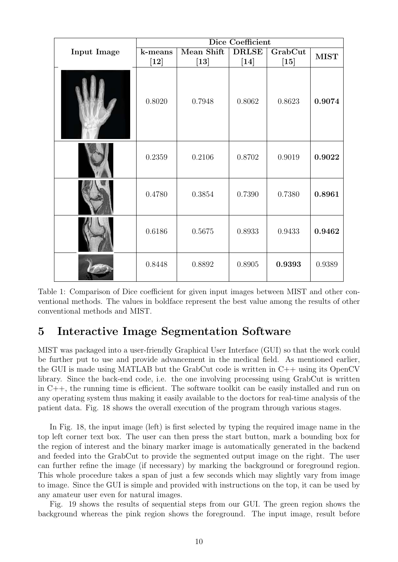|                    | Dice Coefficient  |                      |                        |                   |             |
|--------------------|-------------------|----------------------|------------------------|-------------------|-------------|
| <b>Input Image</b> | k-means<br>$[12]$ | Mean Shift<br>$[13]$ | <b>DRLSE</b><br>$[14]$ | GrabCut<br>$[15]$ | <b>MIST</b> |
|                    | 0.8020            | 0.7948               | 0.8062                 | 0.8623            | 0.9074      |
|                    | 0.2359            | 0.2106               | 0.8702                 | 0.9019            | 0.9022      |
|                    | 0.4780            | 0.3854               | 0.7390                 | 0.7380            | 0.8961      |
|                    | 0.6186            | 0.5675               | 0.8933                 | 0.9433            | 0.9462      |
|                    | 0.8448            | 0.8892               | 0.8905                 | 0.9393            | 0.9389      |

Table 1: Comparison of Dice coefficient for given input images between MIST and other conventional methods. The values in boldface represent the best value among the results of other conventional methods and MIST.

# 5 Interactive Image Segmentation Software

MIST was packaged into a user-friendly Graphical User Interface (GUI) so that the work could be further put to use and provide advancement in the medical field. As mentioned earlier, the GUI is made using MATLAB but the GrabCut code is written in  $C_{++}$  using its OpenCV library. Since the back-end code, i.e. the one involving processing using GrabCut is written in C++, the running time is efficient. The software toolkit can be easily installed and run on any operating system thus making it easily available to the doctors for real-time analysis of the patient data. Fig. 18 shows the overall execution of the program through various stages.

In Fig. 18, the input image (left) is first selected by typing the required image name in the top left corner text box. The user can then press the start button, mark a bounding box for the region of interest and the binary marker image is automatically generated in the backend and feeded into the GrabCut to provide the segmented output image on the right. The user can further refine the image (if necessary) by marking the background or foreground region. This whole procedure takes a span of just a few seconds which may slightly vary from image to image. Since the GUI is simple and provided with instructions on the top, it can be used by any amateur user even for natural images.

Fig. 19 shows the results of sequential steps from our GUI. The green region shows the background whereas the pink region shows the foreground. The input image, result before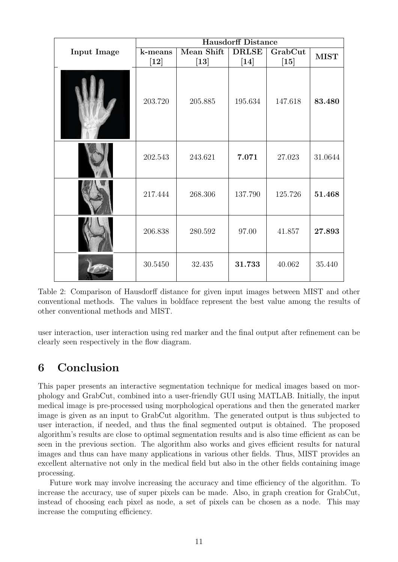|                    | <b>Hausdorff Distance</b> |                      |                        |                   |             |
|--------------------|---------------------------|----------------------|------------------------|-------------------|-------------|
| <b>Input Image</b> | k-means<br>[12]           | Mean Shift<br>$[13]$ | <b>DRLSE</b><br>$[14]$ | GrabCut<br>$[15]$ | <b>MIST</b> |
|                    | 203.720                   | 205.885              | 195.634                | 147.618           | 83.480      |
|                    | 202.543                   | 243.621              | 7.071                  | 27.023            | 31.0644     |
|                    | 217.444                   | 268.306              | 137.790                | 125.726           | 51.468      |
|                    | 206.838                   | 280.592              | 97.00                  | 41.857            | 27.893      |
|                    | 30.5450                   | 32.435               | 31.733                 | 40.062            | 35.440      |

Table 2: Comparison of Hausdorff distance for given input images between MIST and other conventional methods. The values in boldface represent the best value among the results of other conventional methods and MIST.

user interaction, user interaction using red marker and the final output after refinement can be clearly seen respectively in the flow diagram.

# 6 Conclusion

This paper presents an interactive segmentation technique for medical images based on morphology and GrabCut, combined into a user-friendly GUI using MATLAB. Initially, the input medical image is pre-processed using morphological operations and then the generated marker image is given as an input to GrabCut algorithm. The generated output is thus subjected to user interaction, if needed, and thus the final segmented output is obtained. The proposed algorithm's results are close to optimal segmentation results and is also time efficient as can be seen in the previous section. The algorithm also works and gives efficient results for natural images and thus can have many applications in various other fields. Thus, MIST provides an excellent alternative not only in the medical field but also in the other fields containing image processing.

Future work may involve increasing the accuracy and time efficiency of the algorithm. To increase the accuracy, use of super pixels can be made. Also, in graph creation for GrabCut, instead of choosing each pixel as node, a set of pixels can be chosen as a node. This may increase the computing efficiency.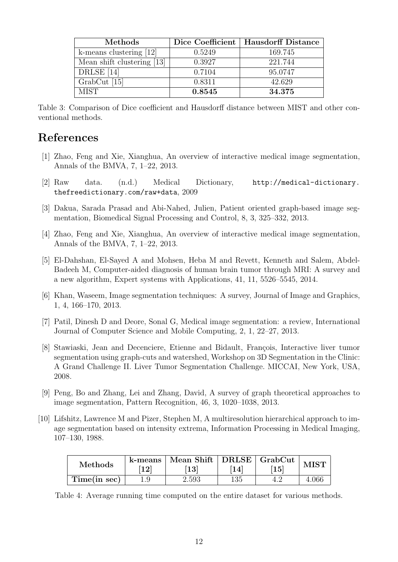| Methods                    |        | Dice Coefficient   Hausdorff Distance |
|----------------------------|--------|---------------------------------------|
| k-means clustering $[12]$  | 0.5249 | 169.745                               |
| Mean shift clustering [13] | 0.3927 | 221.744                               |
| DRLSE [14]                 | 0.7104 | 95.0747                               |
| $GrabCut$ [15]             | 0.8311 | 42.629                                |
| <b>MIST</b>                | 0.8545 | 34.375                                |

Table 3: Comparison of Dice coefficient and Hausdorff distance between MIST and other conventional methods.

# References

- [1] Zhao, Feng and Xie, Xianghua, An overview of interactive medical image segmentation, Annals of the BMVA, 7, 1–22, 2013.
- [2] Raw data. (n.d.) Medical Dictionary, http://medical-dictionary. thefreedictionary.com/raw+data, 2009
- [3] Dakua, Sarada Prasad and Abi-Nahed, Julien, Patient oriented graph-based image segmentation, Biomedical Signal Processing and Control, 8, 3, 325–332, 2013.
- [4] Zhao, Feng and Xie, Xianghua, An overview of interactive medical image segmentation, Annals of the BMVA, 7, 1–22, 2013.
- [5] El-Dahshan, El-Sayed A and Mohsen, Heba M and Revett, Kenneth and Salem, Abdel-Badeeh M, Computer-aided diagnosis of human brain tumor through MRI: A survey and a new algorithm, Expert systems with Applications, 41, 11, 5526–5545, 2014.
- [6] Khan, Waseem, Image segmentation techniques: A survey, Journal of Image and Graphics, 1, 4, 166–170, 2013.
- [7] Patil, Dinesh D and Deore, Sonal G, Medical image segmentation: a review, International Journal of Computer Science and Mobile Computing, 2, 1, 22–27, 2013.
- [8] Stawiaski, Jean and Decenciere, Etienne and Bidault, François, Interactive liver tumor segmentation using graph-cuts and watershed, Workshop on 3D Segmentation in the Clinic: A Grand Challenge II. Liver Tumor Segmentation Challenge. MICCAI, New York, USA, 2008.
- [9] Peng, Bo and Zhang, Lei and Zhang, David, A survey of graph theoretical approaches to image segmentation, Pattern Recognition, 46, 3, 1020–1038, 2013.
- [10] Lifshitz, Lawrence M and Pizer, Stephen M, A multiresolution hierarchical approach to image segmentation based on intensity extrema, Information Processing in Medical Imaging, 107–130, 1988.

| <b>Methods</b> | k-means<br>12 | Mean Shift   DRLSE   GrabCut<br>$\left\lceil 13\right\rceil$ | 14  | $\overline{15}$ |       |
|----------------|---------------|--------------------------------------------------------------|-----|-----------------|-------|
| Time(in sec)   |               | 2.593                                                        | 135 |                 | 4.06t |

Table 4: Average running time computed on the entire dataset for various methods.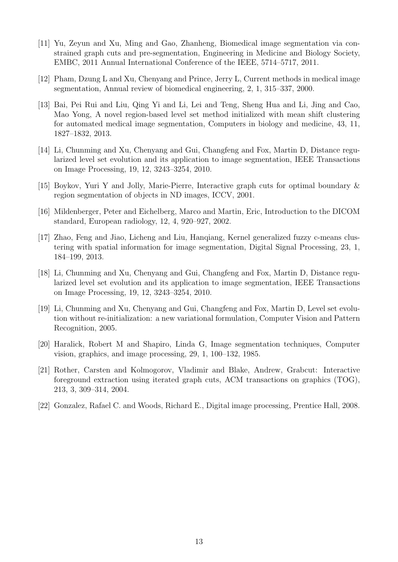- [11] Yu, Zeyun and Xu, Ming and Gao, Zhanheng, Biomedical image segmentation via constrained graph cuts and pre-segmentation, Engineering in Medicine and Biology Society, EMBC, 2011 Annual International Conference of the IEEE, 5714–5717, 2011.
- [12] Pham, Dzung L and Xu, Chenyang and Prince, Jerry L, Current methods in medical image segmentation, Annual review of biomedical engineering, 2, 1, 315–337, 2000.
- [13] Bai, Pei Rui and Liu, Qing Yi and Li, Lei and Teng, Sheng Hua and Li, Jing and Cao, Mao Yong, A novel region-based level set method initialized with mean shift clustering for automated medical image segmentation, Computers in biology and medicine, 43, 11, 1827–1832, 2013.
- [14] Li, Chunming and Xu, Chenyang and Gui, Changfeng and Fox, Martin D, Distance regularized level set evolution and its application to image segmentation, IEEE Transactions on Image Processing, 19, 12, 3243–3254, 2010.
- [15] Boykov, Yuri Y and Jolly, Marie-Pierre, Interactive graph cuts for optimal boundary & region segmentation of objects in ND images, ICCV, 2001.
- [16] Mildenberger, Peter and Eichelberg, Marco and Martin, Eric, Introduction to the DICOM standard, European radiology, 12, 4, 920–927, 2002.
- [17] Zhao, Feng and Jiao, Licheng and Liu, Hanqiang, Kernel generalized fuzzy c-means clustering with spatial information for image segmentation, Digital Signal Processing, 23, 1, 184–199, 2013.
- [18] Li, Chunming and Xu, Chenyang and Gui, Changfeng and Fox, Martin D, Distance regularized level set evolution and its application to image segmentation, IEEE Transactions on Image Processing, 19, 12, 3243–3254, 2010.
- [19] Li, Chunming and Xu, Chenyang and Gui, Changfeng and Fox, Martin D, Level set evolution without re-initialization: a new variational formulation, Computer Vision and Pattern Recognition, 2005.
- [20] Haralick, Robert M and Shapiro, Linda G, Image segmentation techniques, Computer vision, graphics, and image processing, 29, 1, 100–132, 1985.
- [21] Rother, Carsten and Kolmogorov, Vladimir and Blake, Andrew, Grabcut: Interactive foreground extraction using iterated graph cuts, ACM transactions on graphics (TOG), 213, 3, 309–314, 2004.
- [22] Gonzalez, Rafael C. and Woods, Richard E., Digital image processing, Prentice Hall, 2008.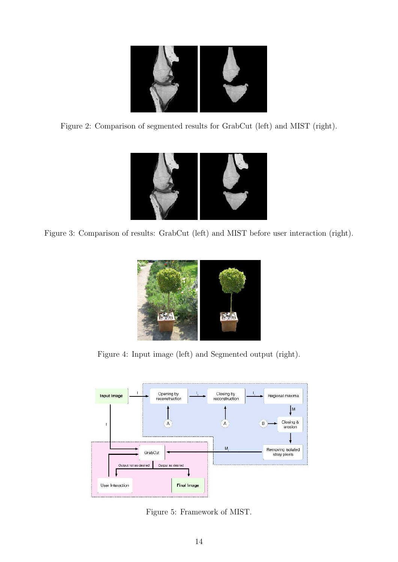

Figure 2: Comparison of segmented results for GrabCut (left) and MIST (right).



Figure 3: Comparison of results: GrabCut (left) and MIST before user interaction (right).



Figure 4: Input image (left) and Segmented output (right).



Figure 5: Framework of MIST.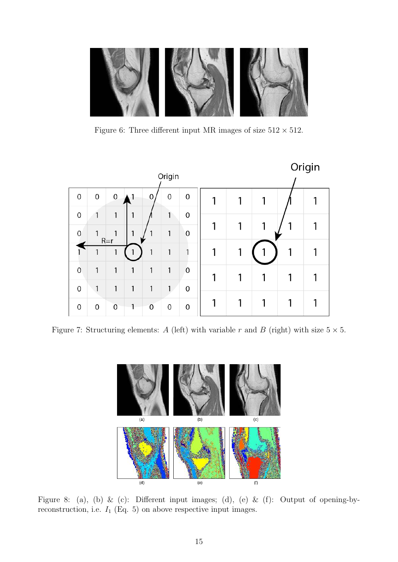

Figure 6: Three different input MR images of size  $512 \times 512$ .



Figure 7: Structuring elements: A (left) with variable r and B (right) with size  $5 \times 5$ .



Figure 8: (a), (b) & (c): Different input images; (d), (e) & (f): Output of opening-byreconstruction, i.e.  $I_1$  (Eq. 5) on above respective input images.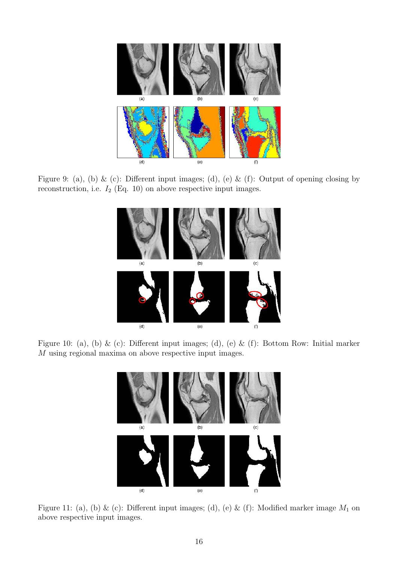

Figure 9: (a), (b) & (c): Different input images; (d), (e) & (f): Output of opening closing by reconstruction, i.e.  $I_2$  (Eq. 10) on above respective input images.



Figure 10: (a), (b) & (c): Different input images; (d), (e) & (f): Bottom Row: Initial marker M using regional maxima on above respective input images.



Figure 11: (a), (b) & (c): Different input images; (d), (e) & (f): Modified marker image  $M_1$  on above respective input images.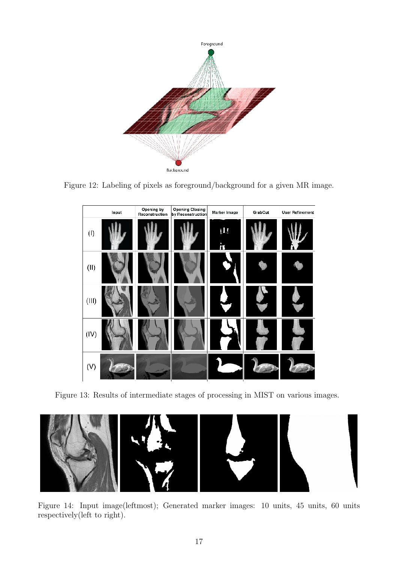

Figure 12: Labeling of pixels as foreground/background for a given MR image.



Figure 13: Results of intermediate stages of processing in MIST on various images.



Figure 14: Input image(leftmost); Generated marker images: 10 units, 45 units, 60 units respectively(left to right).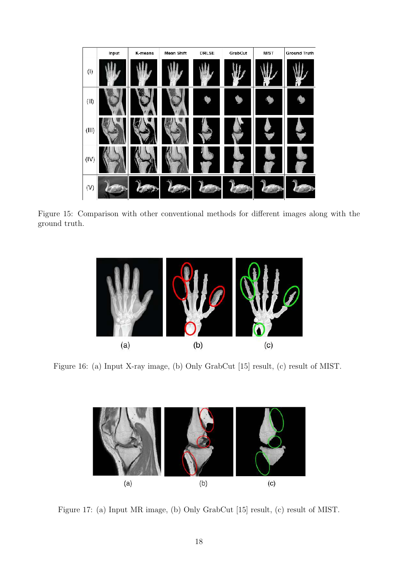

Figure 15: Comparison with other conventional methods for different images along with the ground truth.



Figure 16: (a) Input X-ray image, (b) Only GrabCut [15] result, (c) result of MIST.



Figure 17: (a) Input MR image, (b) Only GrabCut [15] result, (c) result of MIST.